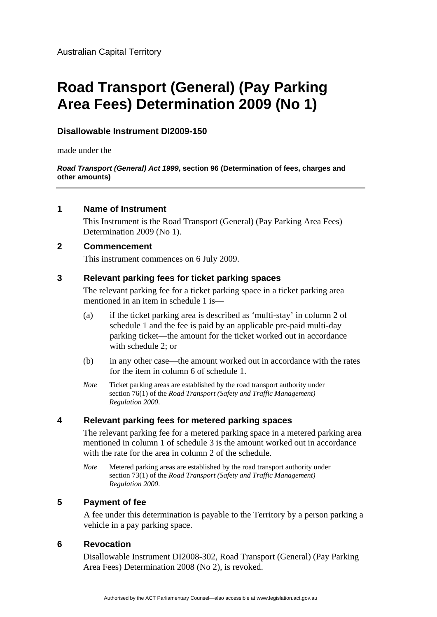## **Disallowable Instrument DI2009-150**

made under the

#### *Road Transport (General) Act 1999***, section 96 (Determination of fees, charges and other amounts)**

#### **1 Name of Instrument**

This Instrument is the Road Transport (General) (Pay Parking Area Fees) Determination 2009 (No 1).

## **2 Commencement**

This instrument commences on 6 July 2009.

#### **3 Relevant parking fees for ticket parking spaces**

The relevant parking fee for a ticket parking space in a ticket parking area mentioned in an item in schedule 1 is—

- (a) if the ticket parking area is described as 'multi-stay' in column 2 of schedule 1 and the fee is paid by an applicable pre-paid multi-day parking ticket—the amount for the ticket worked out in accordance with schedule 2; or
- (b) in any other case—the amount worked out in accordance with the rates for the item in column 6 of schedule 1.
- *Note* Ticket parking areas are established by the road transport authority under section 76(1) of the *Road Transport (Safety and Traffic Management) Regulation 2000*.

## **4 Relevant parking fees for metered parking spaces**

The relevant parking fee for a metered parking space in a metered parking area mentioned in column 1 of schedule 3 is the amount worked out in accordance with the rate for the area in column 2 of the schedule.

*Note* Metered parking areas are established by the road transport authority under section 73(1) of the *Road Transport (Safety and Traffic Management) Regulation 2000*.

#### **5 Payment of fee**

A fee under this determination is payable to the Territory by a person parking a vehicle in a pay parking space.

## **6 Revocation**

Disallowable Instrument DI2008-302, Road Transport (General) (Pay Parking Area Fees) Determination 2008 (No 2), is revoked.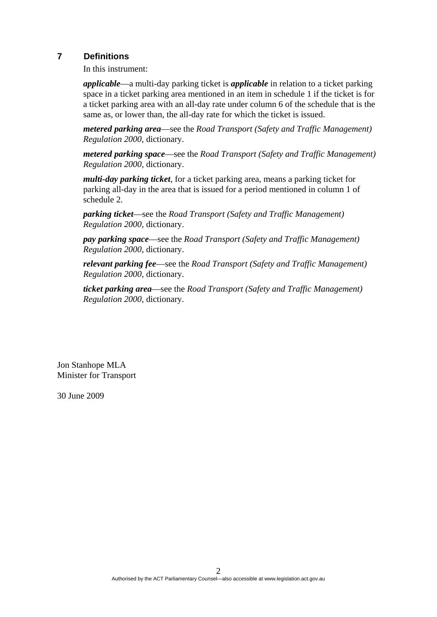## **7 Definitions**

In this instrument:

*applicable*—a multi-day parking ticket is *applicable* in relation to a ticket parking space in a ticket parking area mentioned in an item in schedule 1 if the ticket is for a ticket parking area with an all-day rate under column 6 of the schedule that is the same as, or lower than, the all-day rate for which the ticket is issued.

*metered parking area*—see the *Road Transport (Safety and Traffic Management) Regulation 2000*, dictionary.

*metered parking space*—see the *Road Transport (Safety and Traffic Management) Regulation 2000*, dictionary.

*multi-day parking ticket*, for a ticket parking area, means a parking ticket for parking all-day in the area that is issued for a period mentioned in column 1 of schedule 2.

*parking ticket*—see the *Road Transport (Safety and Traffic Management) Regulation 2000*, dictionary.

*pay parking space*—see the *Road Transport (Safety and Traffic Management) Regulation 2000*, dictionary.

*relevant parking fee*—see the *Road Transport (Safety and Traffic Management) Regulation 2000*, dictionary.

*ticket parking area*—see the *Road Transport (Safety and Traffic Management) Regulation 2000*, dictionary.

Jon Stanhope MLA Minister for Transport

30 June 2009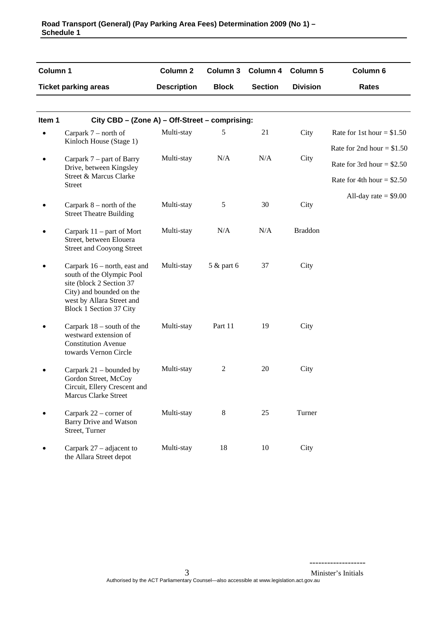| Column 1 |                                                                                                                                                                           | <b>Column 2</b>    | <b>Column 3</b> | Column 4       | <b>Column 5</b> | Column 6                    |
|----------|---------------------------------------------------------------------------------------------------------------------------------------------------------------------------|--------------------|-----------------|----------------|-----------------|-----------------------------|
|          | <b>Ticket parking areas</b>                                                                                                                                               | <b>Description</b> | <b>Block</b>    | <b>Section</b> | <b>Division</b> | <b>Rates</b>                |
|          |                                                                                                                                                                           |                    |                 |                |                 |                             |
| Item 1   | City CBD - (Zone A) - Off-Street - comprising:                                                                                                                            |                    |                 |                |                 |                             |
|          | Carpark $7$ – north of                                                                                                                                                    | Multi-stay         | 5               | 21             | City            | Rate for 1st hour = $$1.50$ |
|          | Kinloch House (Stage 1)                                                                                                                                                   |                    |                 |                |                 | Rate for 2nd hour = $$1.50$ |
|          | Carpark 7 – part of Barry<br>Drive, between Kingsley                                                                                                                      | Multi-stay         | N/A             | N/A            | City            | Rate for 3rd hour = $$2.50$ |
|          | Street & Marcus Clarke<br><b>Street</b>                                                                                                                                   |                    |                 |                |                 | Rate for 4th hour = $$2.50$ |
|          |                                                                                                                                                                           |                    |                 |                |                 | All-day rate $= $9.00$      |
|          | Carpark $8$ – north of the<br><b>Street Theatre Building</b>                                                                                                              | Multi-stay         | 5               | 30             | City            |                             |
|          | Carpark $11$ – part of Mort<br>Street, between Elouera<br><b>Street and Cooyong Street</b>                                                                                | Multi-stay         | N/A             | N/A            | <b>Braddon</b>  |                             |
|          | Carpark 16 – north, east and<br>south of the Olympic Pool<br>site (block 2 Section 37<br>City) and bounded on the<br>west by Allara Street and<br>Block 1 Section 37 City | Multi-stay         | 5 & part 6      | 37             | City            |                             |
|          | Carpark $18$ – south of the<br>westward extension of<br><b>Constitution Avenue</b><br>towards Vernon Circle                                                               | Multi-stay         | Part 11         | 19             | City            |                             |
|          | Carpark $21$ – bounded by<br>Gordon Street, McCoy<br>Circuit, Ellery Crescent and<br>Marcus Clarke Street                                                                 | Multi-stay         | 2               | 20             | City            |                             |
|          | Carpark $22$ – corner of<br><b>Barry Drive and Watson</b><br>Street, Turner                                                                                               | Multi-stay         | 8               | 25             | Turner          |                             |
|          | Carpark $27$ – adjacent to<br>the Allara Street depot                                                                                                                     | Multi-stay         | 18              | 10             | City            |                             |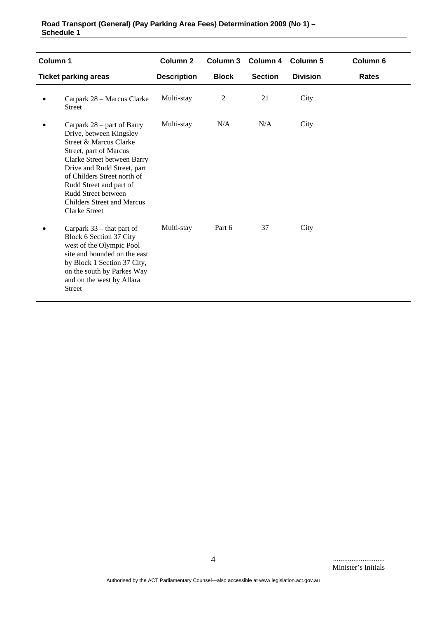| Column 1 |                                                                                                                                                                                                                                                                                                                       | Column <sub>2</sub> |              | Column 3 Column 4 | <b>Column 5</b> | Column 6     |
|----------|-----------------------------------------------------------------------------------------------------------------------------------------------------------------------------------------------------------------------------------------------------------------------------------------------------------------------|---------------------|--------------|-------------------|-----------------|--------------|
|          | <b>Ticket parking areas</b>                                                                                                                                                                                                                                                                                           | <b>Description</b>  | <b>Block</b> | <b>Section</b>    | <b>Division</b> | <b>Rates</b> |
|          | Carpark 28 - Marcus Clarke<br><b>Street</b>                                                                                                                                                                                                                                                                           | Multi-stay          | 2            | 21                | City            |              |
|          | Carpark 28 – part of Barry<br>Drive, between Kingsley<br>Street & Marcus Clarke<br>Street, part of Marcus<br>Clarke Street between Barry<br>Drive and Rudd Street, part<br>of Childers Street north of<br>Rudd Street and part of<br>Rudd Street between<br><b>Childers Street and Marcus</b><br><b>Clarke Street</b> | Multi-stay          | N/A          | N/A               | City            |              |
|          | Carpark $33$ – that part of<br>Block 6 Section 37 City<br>west of the Olympic Pool<br>site and bounded on the east<br>by Block 1 Section 37 City,<br>on the south by Parkes Way<br>and on the west by Allara<br><b>Street</b>                                                                                         | Multi-stay          | Part 6       | 37                | City            |              |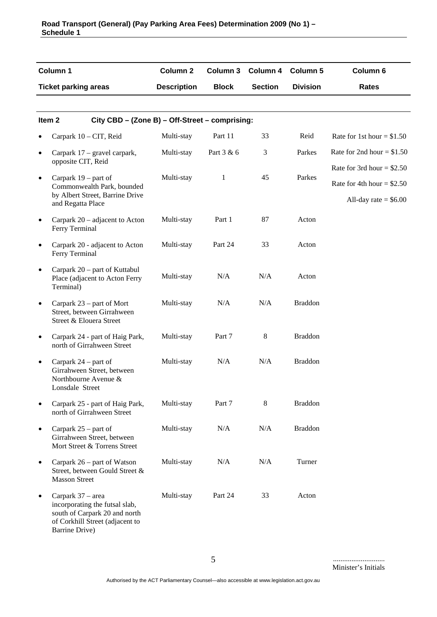|           | Column 1                                                                                                                                  | Column <sub>2</sub> | Column 3     | Column 4       | Column 5        | Column 6                    |
|-----------|-------------------------------------------------------------------------------------------------------------------------------------------|---------------------|--------------|----------------|-----------------|-----------------------------|
|           | <b>Ticket parking areas</b>                                                                                                               | <b>Description</b>  | <b>Block</b> | <b>Section</b> | <b>Division</b> | <b>Rates</b>                |
|           |                                                                                                                                           |                     |              |                |                 |                             |
|           | City CBD - (Zone B) - Off-Street - comprising:<br>Item <sub>2</sub>                                                                       |                     |              |                |                 |                             |
| $\bullet$ | Carpark 10 - CIT, Reid                                                                                                                    | Multi-stay          | Part 11      | 33             | Reid            | Rate for 1st hour = $$1.50$ |
| $\bullet$ | Carpark 17 – gravel carpark,                                                                                                              | Multi-stay          | Part 3 & 6   | 3              | Parkes          | Rate for 2nd hour = $$1.50$ |
|           | opposite CIT, Reid                                                                                                                        |                     |              |                | Parkes          | Rate for 3rd hour = $$2.50$ |
| $\bullet$ | Carpark $19$ – part of<br>Commonwealth Park, bounded                                                                                      | Multi-stay          | 1            | 45             |                 | Rate for 4th hour = $$2.50$ |
|           | by Albert Street, Barrine Drive<br>and Regatta Place                                                                                      |                     |              |                |                 | All-day rate $=$ \$6.00     |
| $\bullet$ | Carpark $20$ – adjacent to Acton<br>Ferry Terminal                                                                                        | Multi-stay          | Part 1       | 87             | Acton           |                             |
| $\bullet$ | Carpark 20 - adjacent to Acton<br>Ferry Terminal                                                                                          | Multi-stay          | Part 24      | 33             | Acton           |                             |
| $\bullet$ | Carpark 20 – part of Kuttabul<br>Place (adjacent to Acton Ferry<br>Terminal)                                                              | Multi-stay          | N/A          | N/A            | Acton           |                             |
| $\bullet$ | Carpark 23 – part of Mort<br>Street, between Girrahween<br>Street & Elouera Street                                                        | Multi-stay          | N/A          | N/A            | <b>Braddon</b>  |                             |
| $\bullet$ | Carpark 24 - part of Haig Park,<br>north of Girrahween Street                                                                             | Multi-stay          | Part 7       | 8              | <b>Braddon</b>  |                             |
| $\bullet$ | Carpark 24 – part of<br>Girrahween Street, between<br>Northbourne Avenue &<br>Lonsdale Street                                             | Multi-stay          | N/A          | N/A            | <b>Braddon</b>  |                             |
| $\bullet$ | Carpark 25 - part of Haig Park,<br>north of Girrahween Street                                                                             | Multi-stay          | Part 7       | 8              | <b>Braddon</b>  |                             |
| $\bullet$ | Carpark 25 – part of<br>Girrahween Street, between<br>Mort Street & Torrens Street                                                        | Multi-stay          | N/A          | N/A            | <b>Braddon</b>  |                             |
| $\bullet$ | Carpark $26$ – part of Watson<br>Street, between Gould Street &<br><b>Masson Street</b>                                                   | Multi-stay          | N/A          | N/A            | Turner          |                             |
| $\bullet$ | Carpark 37 - area<br>incorporating the futsal slab,<br>south of Carpark 20 and north<br>of Corkhill Street (adjacent to<br>Barrine Drive) | Multi-stay          | Part 24      | 33             | Acton           |                             |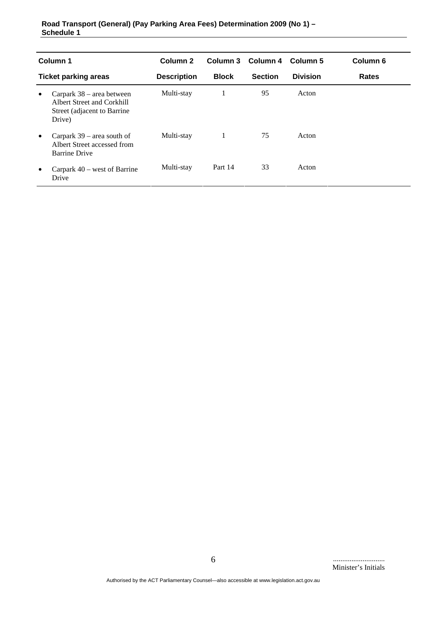| Column 1                    |                                                                                                    | Column <sub>2</sub> |              | Column 3 Column 4 | Column 5        | Column <sub>6</sub> |
|-----------------------------|----------------------------------------------------------------------------------------------------|---------------------|--------------|-------------------|-----------------|---------------------|
| <b>Ticket parking areas</b> |                                                                                                    | <b>Description</b>  | <b>Block</b> | <b>Section</b>    | <b>Division</b> | <b>Rates</b>        |
| $\bullet$                   | Carpark $38$ – area between<br>Albert Street and Corkhill<br>Street (adjacent to Barrine<br>Drive) | Multi-stay          |              | 95                | Acton           |                     |
| $\bullet$                   | Carpark $39$ – area south of<br>Albert Street accessed from<br><b>Barrine Drive</b>                | Multi-stay          | 1            | 75                | Acton           |                     |
| $\bullet$                   | Carpark $40$ – west of Barrine<br>Drive                                                            | Multi-stay          | Part 14      | 33                | Acton           |                     |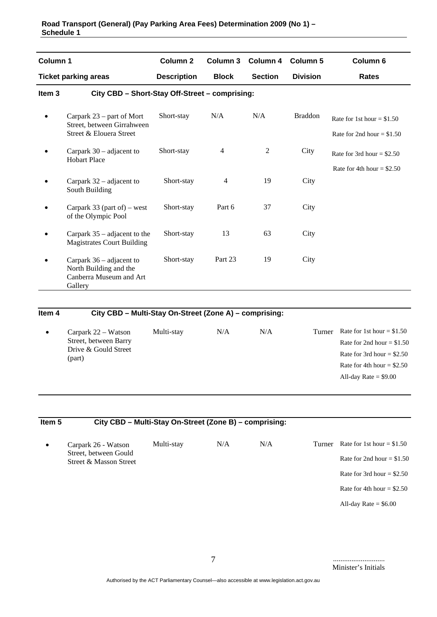| Column 1          |                                                                                          | Column <sub>2</sub> | Column 3       | Column 4       | <b>Column 5</b> | Column 6                                                   |
|-------------------|------------------------------------------------------------------------------------------|---------------------|----------------|----------------|-----------------|------------------------------------------------------------|
|                   | <b>Ticket parking areas</b>                                                              | <b>Description</b>  | <b>Block</b>   | <b>Section</b> | <b>Division</b> | <b>Rates</b>                                               |
| Item <sub>3</sub> | City CBD - Short-Stay Off-Street - comprising:                                           |                     |                |                |                 |                                                            |
| $\bullet$         | Carpark $23$ – part of Mort<br>Street, between Girrahween<br>Street & Elouera Street     | Short-stay          | N/A            | N/A            | <b>Braddon</b>  | Rate for 1st hour = $$1.50$<br>Rate for 2nd hour = $$1.50$ |
|                   | Carpark $30$ – adjacent to<br><b>Hobart Place</b>                                        | Short-stay          | $\overline{4}$ | $\mathfrak{2}$ | City            | Rate for 3rd hour = $$2.50$<br>Rate for 4th hour = $$2.50$ |
|                   | Carpark $32$ – adjacent to<br>South Building                                             | Short-stay          | $\overline{4}$ | 19             | City            |                                                            |
|                   | Carpark 33 (part of) – west<br>of the Olympic Pool                                       | Short-stay          | Part 6         | 37             | City            |                                                            |
|                   | Carpark $35$ – adjacent to the<br><b>Magistrates Court Building</b>                      | Short-stay          | 13             | 63             | City            |                                                            |
|                   | Carpark 36 – adjacent to<br>North Building and the<br>Canberra Museum and Art<br>Gallery | Short-stay          | Part 23        | 19             | City            |                                                            |

## **Item 4 City CBD – Multi-Stay On-Street (Zone A) – comprising:**

| Carpark 22 – Watson<br>Street, between Barry<br>Drive & Gould Street<br>(part) | Multi-stay | N/A | N/A | Turner | Rate for 1st hour = $$1.50$<br>Rate for 2nd hour = $$1.50$<br>Rate for 3rd hour = $$2.50$<br>Rate for 4th hour = $$2.50$ |
|--------------------------------------------------------------------------------|------------|-----|-----|--------|--------------------------------------------------------------------------------------------------------------------------|
|                                                                                |            |     |     |        | All-day Rate $= $9.00$                                                                                                   |

| Item <sub>5</sub> | City CBD - Multi-Stay On-Street (Zone B) - comprising: |            |     |     |        |                             |
|-------------------|--------------------------------------------------------|------------|-----|-----|--------|-----------------------------|
| $\bullet$         | Carpark 26 - Watson                                    | Multi-stay | N/A | N/A | Turner | Rate for 1st hour = $$1.50$ |
|                   | Street, between Gould<br>Street & Masson Street        |            |     |     |        | Rate for 2nd hour = $$1.50$ |
|                   |                                                        |            |     |     |        | Rate for 3rd hour = $$2.50$ |
|                   |                                                        |            |     |     |        | Rate for 4th hour = $$2.50$ |
|                   |                                                        |            |     |     |        | All-day Rate $=$ \$6.00     |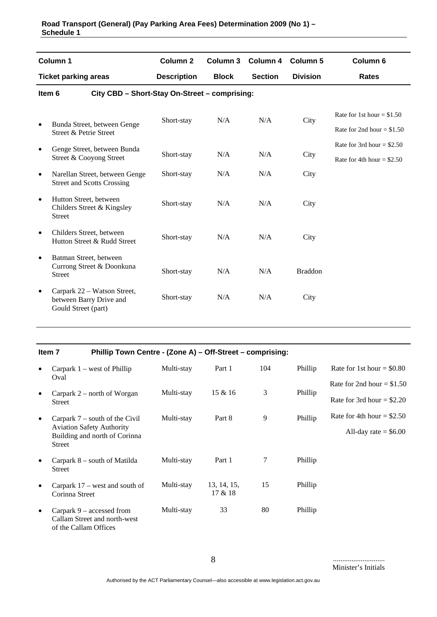|           | Column <sub>1</sub>                                                           | Column <sub>2</sub> | Column 3     | Column 4       | <b>Column 5</b> | Column <sub>6</sub>         |
|-----------|-------------------------------------------------------------------------------|---------------------|--------------|----------------|-----------------|-----------------------------|
|           | <b>Ticket parking areas</b>                                                   | <b>Description</b>  | <b>Block</b> | <b>Section</b> | <b>Division</b> | Rates                       |
|           | City CBD - Short-Stay On-Street - comprising:<br>Item 6                       |                     |              |                |                 |                             |
| $\bullet$ | Bunda Street, between Genge                                                   | Short-stay          | N/A          | N/A            | City            | Rate for 1st hour = $$1.50$ |
|           | Street & Petrie Street                                                        |                     |              |                |                 | Rate for 2nd hour = $$1.50$ |
| $\bullet$ | Genge Street, between Bunda                                                   |                     |              |                |                 | Rate for 3rd hour = $$2.50$ |
|           | Street & Cooyong Street                                                       | Short-stay          | N/A          | N/A            | City            | Rate for 4th hour = $$2.50$ |
| $\bullet$ | Narellan Street, between Genge<br><b>Street and Scotts Crossing</b>           | Short-stay          | N/A          | N/A            | City            |                             |
| $\bullet$ | Hutton Street, between<br>Childers Street & Kingsley<br><b>Street</b>         | Short-stay          | N/A          | N/A            | City            |                             |
| $\bullet$ | Childers Street, between<br>Hutton Street & Rudd Street                       | Short-stay          | N/A          | N/A            | City            |                             |
| $\bullet$ | Batman Street, between<br>Currong Street & Doonkuna<br><b>Street</b>          | Short-stay          | N/A          | N/A            | <b>Braddon</b>  |                             |
| $\bullet$ | Carpark 22 – Watson Street,<br>between Barry Drive and<br>Gould Street (part) | Short-stay          | N/A          | N/A            | City            |                             |

|           | Item 7                                                                                                                 | Phillip Town Centre - (Zone A) - Off-Street - comprising: |                        |     |         |                             |
|-----------|------------------------------------------------------------------------------------------------------------------------|-----------------------------------------------------------|------------------------|-----|---------|-----------------------------|
| $\bullet$ | Carpark $1$ – west of Phillip                                                                                          | Multi-stay                                                | Part 1                 | 104 | Phillip | Rate for 1st hour $= $0.80$ |
|           | Oval                                                                                                                   |                                                           |                        |     |         | Rate for 2nd hour = $$1.50$ |
| $\bullet$ | Carpark $2$ – north of Worgan<br><b>Street</b>                                                                         | Multi-stay                                                | $15 \& 16$             | 3   | Phillip | Rate for 3rd hour = $$2.20$ |
| $\bullet$ | Carpark $7$ – south of the Civil<br><b>Aviation Safety Authority</b><br>Building and north of Corinna<br><b>Street</b> | Multi-stay                                                | Part 8                 | 9   | Phillip | Rate for 4th hour = $$2.50$ |
|           |                                                                                                                        |                                                           |                        |     |         | All-day rate $=$ \$6.00     |
| $\bullet$ | Carpark $8$ – south of Matilda<br><b>Street</b>                                                                        | Multi-stay                                                | Part 1                 | 7   | Phillip |                             |
| $\bullet$ | Carpark $17$ – west and south of<br>Corinna Street                                                                     | Multi-stay                                                | 13, 14, 15,<br>17 & 18 | 15  | Phillip |                             |
| $\bullet$ | Carpark $9$ – accessed from<br>Callam Street and north-west                                                            | Multi-stay                                                | 33                     | 80  | Phillip |                             |

of the Callam Offices

............................ Minister's Initials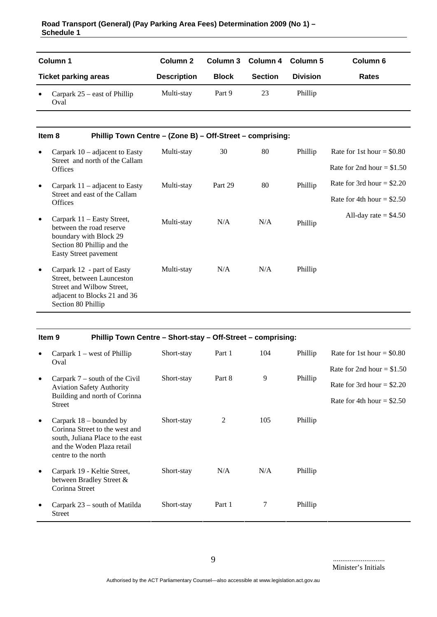| Column 1<br><b>Ticket parking areas</b> |                                        | Column 2           |              | Column 3 Column 4 Column 5 |                 | Column 6     |  |
|-----------------------------------------|----------------------------------------|--------------------|--------------|----------------------------|-----------------|--------------|--|
|                                         |                                        | <b>Description</b> | <b>Block</b> | <b>Section</b>             | <b>Division</b> | <b>Rates</b> |  |
| $\bullet$                               | Carpark $25$ – east of Phillip<br>Oval | Multi-stay         | Part 9       | 23                         | Phillip         |              |  |

#### **Item 8 Phillip Town Centre – (Zone B) – Off-Street – comprising:**

| $\bullet$ | Carpark $10$ – adjacent to Easty<br>Street and north of the Callam                                                                          | Multi-stay | 30      | 80  | Phillip | Rate for 1st hour $= $0.80$  |
|-----------|---------------------------------------------------------------------------------------------------------------------------------------------|------------|---------|-----|---------|------------------------------|
|           | <b>Offices</b>                                                                                                                              |            |         |     |         | Rate for 2nd hour $= $1.50$  |
| $\bullet$ | Carpark $11$ – adjacent to Easty                                                                                                            | Multi-stay | Part 29 | 80  | Phillip | Rate for 3rd hour $=$ \$2.20 |
|           | Street and east of the Callam<br><b>Offices</b>                                                                                             |            |         |     |         | Rate for 4th hour $=$ \$2.50 |
| $\bullet$ | Carpark 11 – Easty Street,<br>between the road reserve<br>boundary with Block 29<br>Section 80 Phillip and the<br>Easty Street pavement     | Multi-stay | N/A     | N/A | Phillip | All-day rate $=$ \$4.50      |
| $\bullet$ | Carpark 12 - part of Easty<br>Street, between Launceston<br>Street and Wilbow Street.<br>adjacent to Blocks 21 and 36<br>Section 80 Phillip | Multi-stay | N/A     | N/A | Phillip |                              |

|           | Phillip Town Centre - Short-stay - Off-Street - comprising:<br>Item <sub>9</sub>                                                                     |            |        |     |         |                              |
|-----------|------------------------------------------------------------------------------------------------------------------------------------------------------|------------|--------|-----|---------|------------------------------|
| $\bullet$ | Carpark $1$ – west of Phillip<br>Oval                                                                                                                | Short-stay | Part 1 | 104 | Phillip | Rate for 1st hour = $$0.80$  |
|           |                                                                                                                                                      |            |        |     |         | Rate for 2nd hour $= $1.50$  |
| $\bullet$ | Carpark $7$ – south of the Civil<br><b>Aviation Safety Authority</b>                                                                                 | Short-stay | Part 8 | 9   | Phillip | Rate for 3rd hour = $$2.20$  |
|           | Building and north of Corinna<br><b>Street</b>                                                                                                       |            |        |     |         | Rate for 4th hour $=$ \$2.50 |
| $\bullet$ | Carpark $18$ – bounded by<br>Corinna Street to the west and<br>south, Juliana Place to the east<br>and the Woden Plaza retail<br>centre to the north | Short-stay | 2      | 105 | Phillip |                              |
| $\bullet$ | Carpark 19 - Keltie Street,<br>between Bradley Street &<br>Corinna Street                                                                            | Short-stay | N/A    | N/A | Phillip |                              |
|           | Carpark 23 – south of Matilda<br><b>Street</b>                                                                                                       | Short-stay | Part 1 | 7   | Phillip |                              |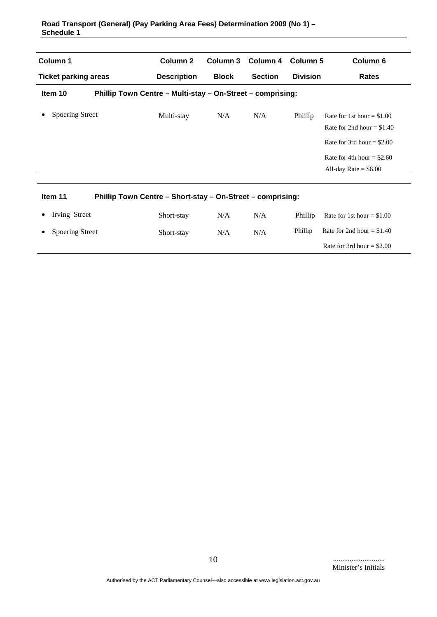| Column 1                                                              | Column <sub>2</sub>                                        |              | Column 3 Column 4<br><b>Section</b> | Column 5<br><b>Division</b> | Column <sub>6</sub>                                                                                                                                |  |  |  |
|-----------------------------------------------------------------------|------------------------------------------------------------|--------------|-------------------------------------|-----------------------------|----------------------------------------------------------------------------------------------------------------------------------------------------|--|--|--|
| <b>Ticket parking areas</b>                                           | <b>Description</b>                                         | <b>Block</b> |                                     |                             | <b>Rates</b>                                                                                                                                       |  |  |  |
| Item 10                                                               | Phillip Town Centre - Multi-stay - On-Street - comprising: |              |                                     |                             |                                                                                                                                                    |  |  |  |
| <b>Spoering Street</b>                                                | Multi-stay                                                 | N/A          | N/A                                 | Phillip                     | Rate for 1st hour = $$1.00$<br>Rate for 2nd hour = $$1.40$<br>Rate for 3rd hour = $$2.00$<br>Rate for 4th hour = $$2.60$<br>All-day Rate = $$6.00$ |  |  |  |
| Item 11<br>Phillip Town Centre - Short-stay - On-Street - comprising: |                                                            |              |                                     |                             |                                                                                                                                                    |  |  |  |
| Irving Street                                                         | Short-stay                                                 | N/A          | N/A                                 | Phillip                     | Rate for 1st hour = $$1.00$                                                                                                                        |  |  |  |
| <b>Spoering Street</b>                                                | Short-stay                                                 | N/A          | N/A                                 | Phillip                     | Rate for 2nd hour = $$1.40$                                                                                                                        |  |  |  |
|                                                                       |                                                            |              |                                     |                             | Rate for 3rd hour = $$2.00$                                                                                                                        |  |  |  |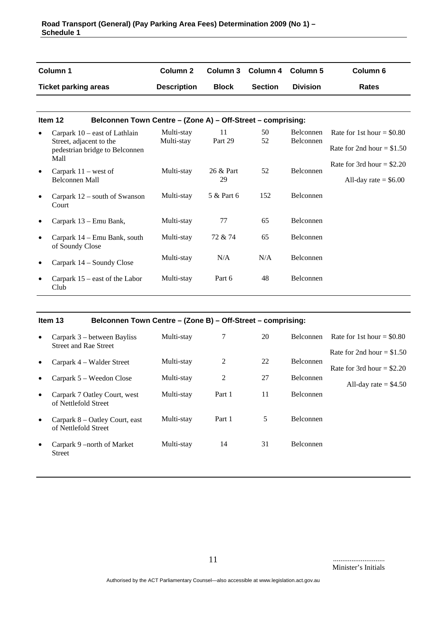|           | Column 1                                                               | Column <sub>2</sub> | Column 3     | <b>Column 4</b> | Column 5         | Column <sub>6</sub>         |
|-----------|------------------------------------------------------------------------|---------------------|--------------|-----------------|------------------|-----------------------------|
|           | <b>Ticket parking areas</b>                                            | <b>Description</b>  | <b>Block</b> | <b>Section</b>  | <b>Division</b>  | <b>Rates</b>                |
|           |                                                                        |                     |              |                 |                  |                             |
|           | Item 12<br>Belconnen Town Centre - (Zone A) - Off-Street - comprising: |                     |              |                 |                  |                             |
|           | Carpark $10$ – east of Lathlain                                        | Multi-stay          | 11           | 50              | <b>Belconnen</b> | Rate for 1st hour = $$0.80$ |
|           | Street, adjacent to the<br>pedestrian bridge to Belconnen<br>Mall      | Multi-stay          | Part 29      | 52              | Belconnen        | Rate for 2nd hour = $$1.50$ |
|           |                                                                        | Multi-stay          | 26 & Part    | 52              | Belconnen        | Rate for 3rd hour = $$2.20$ |
| $\bullet$ | Carpark $11$ – west of<br><b>Belconnen Mall</b>                        |                     | 29           |                 |                  | All-day rate $=$ \$6.00     |
| $\bullet$ | Carpark 12 – south of Swanson<br>Court                                 | Multi-stay          | 5 & Part 6   | 152             | <b>Belconnen</b> |                             |
|           | Carpark 13 – Emu Bank,                                                 | Multi-stay          | 77           | 65              | <b>Belconnen</b> |                             |
|           | Carpark 14 – Emu Bank, south<br>of Soundy Close                        | Multi-stay          | 72 & 74      | 65              | Belconnen        |                             |
|           | Carpark 14 – Soundy Close                                              | Multi-stay          | N/A          | N/A             | <b>Belconnen</b> |                             |
|           | Carpark $15$ – east of the Labor<br>Club                               | Multi-stay          | Part 6       | 48              | <b>Belconnen</b> |                             |

## **Item 13 Belconnen Town Centre – (Zone B) – Off-Street – comprising:**

| $\bullet$ | Carpark 3 – between Bayliss<br>Street and Rae Street   | Multi-stay | 7              | 20 | Belconnen        | Rate for 1st hour $= $0.80$  |
|-----------|--------------------------------------------------------|------------|----------------|----|------------------|------------------------------|
|           |                                                        |            |                |    |                  | Rate for 2nd hour $= $1.50$  |
| $\bullet$ | Carpark 4 – Walder Street                              | Multi-stay | $\overline{2}$ | 22 | <b>Belconnen</b> | Rate for 3rd hour $=$ \$2.20 |
| $\bullet$ | Carpark 5 – Weedon Close                               | Multi-stay | 2              | 27 | <b>Belconnen</b> |                              |
|           |                                                        |            |                |    |                  | All-day rate $=$ \$4.50      |
| $\bullet$ | Carpark 7 Oatley Court, west<br>of Nettlefold Street   | Multi-stay | Part 1         | 11 | <b>Belconnen</b> |                              |
| $\bullet$ | Carpark 8 – Oatley Court, east<br>of Nettlefold Street | Multi-stay | Part 1         | 5  | <b>Belconnen</b> |                              |
|           |                                                        |            |                |    |                  |                              |
| $\bullet$ | Carpark 9 – north of Market<br><b>Street</b>           | Multi-stay | 14             | 31 | <b>Belconnen</b> |                              |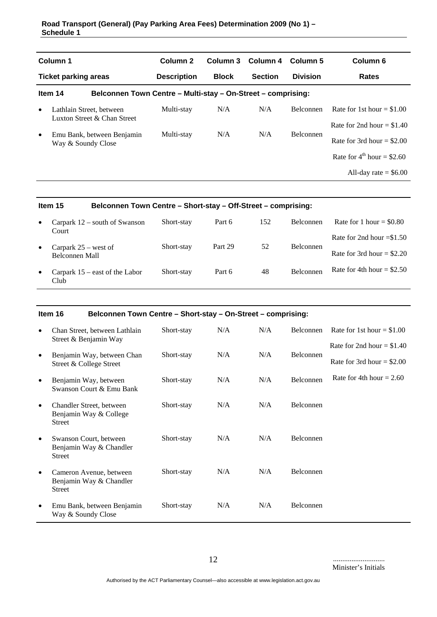| Column 1<br><b>Ticket parking areas</b> |                                                                                                             | Column <sub>2</sub><br>Column 3 | Column 4       | Column 5         | Column 6                                                     |
|-----------------------------------------|-------------------------------------------------------------------------------------------------------------|---------------------------------|----------------|------------------|--------------------------------------------------------------|
|                                         |                                                                                                             | <b>Block</b>                    | <b>Section</b> | <b>Division</b>  | <b>Rates</b>                                                 |
|                                         |                                                                                                             |                                 |                |                  |                                                              |
|                                         | Multi-stay                                                                                                  | N/A                             | N/A            | <b>Belconnen</b> | Rate for 1st hour $= $1.00$<br>Rate for 2nd hour $= $1.40$   |
|                                         | Multi-stay                                                                                                  | N/A                             | N/A            | <b>Belconnen</b> | Rate for 3rd hour $= $2.00$                                  |
|                                         |                                                                                                             |                                 |                |                  | Rate for $4^{\text{th}}$ hour = \$2.60                       |
|                                         |                                                                                                             |                                 |                |                  | All-day rate $=$ \$6.00                                      |
|                                         | Lathlain Street, between<br>Luxton Street & Chan Street<br>Emu Bank, between Benjamin<br>Way & Soundy Close | <b>Description</b>              |                |                  | Belconnen Town Centre - Multi-stay - On-Street - comprising: |

|           | Item 15                                  | Belconnen Town Centre - Short-stay - Off-Street - comprising: |         |     |                  |                             |  |
|-----------|------------------------------------------|---------------------------------------------------------------|---------|-----|------------------|-----------------------------|--|
| $\bullet$ | Carpark $12$ – south of Swanson<br>Court | Short-stay                                                    | Part 6  | 152 | Belconnen        | Rate for 1 hour = $$0.80$   |  |
|           |                                          |                                                               |         |     |                  | Rate for 2nd hour $= $1.50$ |  |
| $\bullet$ | Carpark $25$ – west of<br>Belconnen Mall | Short-stay                                                    | Part 29 | 52  | <b>Belconnen</b> | Rate for 3rd hour = $$2.20$ |  |
| $\bullet$ | Carpark $15$ – east of the Labor<br>Club | Short-stay                                                    | Part 6  | 48  | Belconnen        | Rate for 4th hour = $$2.50$ |  |

|           | Item 16<br>Belconnen Town Centre - Short-stay - On-Street - comprising: |            |     |     |                  |                             |  |
|-----------|-------------------------------------------------------------------------|------------|-----|-----|------------------|-----------------------------|--|
| $\bullet$ | Chan Street, between Lathlain<br>Street & Benjamin Way                  | Short-stay | N/A | N/A | Belconnen        | Rate for 1st hour $= $1.00$ |  |
|           |                                                                         |            |     |     |                  | Rate for 2nd hour = $$1.40$ |  |
| $\bullet$ | Benjamin Way, between Chan<br>Street & College Street                   | Short-stay | N/A | N/A | <b>Belconnen</b> | Rate for 3rd hour = $$2.00$ |  |
| $\bullet$ | Benjamin Way, between<br>Swanson Court & Emu Bank                       | Short-stay | N/A | N/A | <b>Belconnen</b> | Rate for 4th hour = $2.60$  |  |
| $\bullet$ | Chandler Street, between<br>Benjamin Way & College<br><b>Street</b>     | Short-stay | N/A | N/A | Belconnen        |                             |  |
| $\bullet$ | Swanson Court, between<br>Benjamin Way & Chandler<br><b>Street</b>      | Short-stay | N/A | N/A | <b>Belconnen</b> |                             |  |
| $\bullet$ | Cameron Avenue, between<br>Benjamin Way & Chandler<br><b>Street</b>     | Short-stay | N/A | N/A | Belconnen        |                             |  |
| $\bullet$ | Emu Bank, between Benjamin<br>Way & Soundy Close                        | Short-stay | N/A | N/A | <b>Belconnen</b> |                             |  |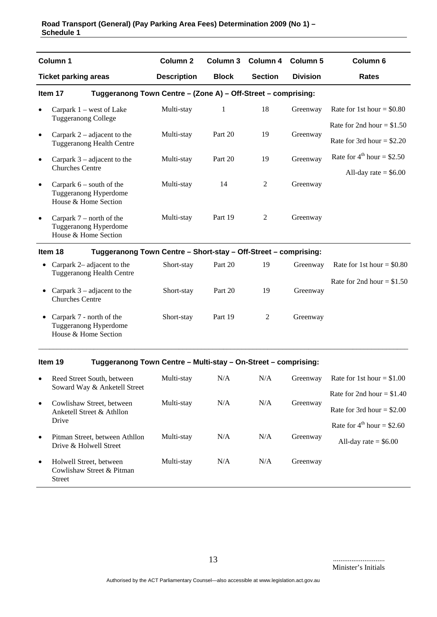|           | Column <sub>1</sub>                                                         |                     |              |                |                 |                                        |
|-----------|-----------------------------------------------------------------------------|---------------------|--------------|----------------|-----------------|----------------------------------------|
|           |                                                                             | Column <sub>2</sub> | Column 3     | Column 4       | <b>Column 5</b> | Column 6                               |
|           | <b>Ticket parking areas</b>                                                 | <b>Description</b>  | <b>Block</b> | <b>Section</b> | <b>Division</b> | <b>Rates</b>                           |
|           | Tuggeranong Town Centre - (Zone A) - Off-Street - comprising:<br>Item 17    |                     |              |                |                 |                                        |
| $\bullet$ | Carpark $1$ – west of Lake<br><b>Tuggeranong College</b>                    | Multi-stay          | 1            | 18             | Greenway        | Rate for 1st hour = $$0.80$            |
| $\bullet$ | Carpark $2$ – adjacent to the                                               | Multi-stay          | Part 20      | 19             | Greenway        | Rate for 2nd hour = $$1.50$            |
|           | <b>Tuggeranong Health Centre</b>                                            |                     |              |                |                 | Rate for 3rd hour = $$2.20$            |
| $\bullet$ | Carpark $3$ – adjacent to the                                               | Multi-stay          | Part 20      | 19             | Greenway        | Rate for $4^{\text{th}}$ hour = \$2.50 |
|           | <b>Churches Centre</b>                                                      |                     |              |                |                 | All-day rate $=$ \$6.00                |
| $\bullet$ | Carpark $6$ – south of the<br>Tuggeranong Hyperdome<br>House & Home Section | Multi-stay          | 14           | $\overline{2}$ | Greenway        |                                        |
| $\bullet$ | Carpark $7$ – north of the<br>Tuggeranong Hyperdome<br>House & Home Section | Multi-stay          | Part 19      | $\overline{2}$ | Greenway        |                                        |
|           | Item 18<br>Tuggeranong Town Centre - Short-stay - Off-Street - comprising:  |                     |              |                |                 |                                        |
| $\bullet$ | Carpark 2– adjacent to the<br><b>Tuggeranong Health Centre</b>              | Short-stay          | Part 20      | 19             | Greenway        | Rate for 1st hour = $$0.80$            |
|           | Carpark $3$ – adjacent to the<br><b>Churches Centre</b>                     | Short-stay          | Part 20      | 19             | Greenway        | Rate for 2nd hour = $$1.50$            |
|           | Carpark 7 - north of the<br>Tuggeranong Hyperdome<br>House & Home Section   | Short-stay          | Part 19      | $\overline{c}$ | Greenway        |                                        |
|           | Item 19<br>Tuggeranong Town Centre - Multi-stay - On-Street - comprising:   |                     |              |                |                 |                                        |
| $\bullet$ | Reed Street South, between<br>Soward Way & Anketell Street                  | Multi-stay          | N/A          | N/A            | Greenway        | Rate for 1st hour = $$1.00$            |
| $\bullet$ | Cowlishaw Street, between                                                   | Multi-stay          | N/A          | N/A            | Greenway        | Rate for 2nd hour = $$1.40$            |
|           | Anketell Street & Athllon<br>Drive                                          |                     |              |                |                 | Rate for 3rd hour = $$2.00$            |
|           | Pitman Street, between Athllon                                              | Multi-stay          | N/A          | N/A            | Greenway        | Rate for $4^{\text{th}}$ hour = \$2.60 |
| $\bullet$ | Drive & Holwell Street                                                      |                     |              |                |                 | All-day rate $=$ \$6.00                |
| $\bullet$ | Holwell Street, between<br>Cowlishaw Street & Pitman<br>Street              | Multi-stay          | N/A          | N/A            | Greenway        |                                        |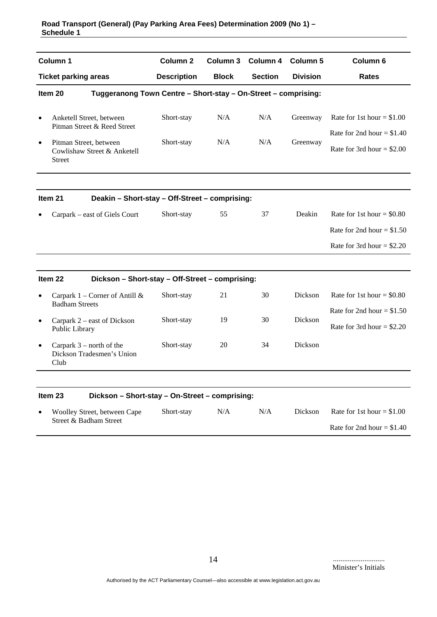|           | Column 1                                                                  | Column <sub>2</sub> |              | Column 3 Column 4 | <b>Column 5</b> | Column <sub>6</sub>                                                                       |  |  |  |
|-----------|---------------------------------------------------------------------------|---------------------|--------------|-------------------|-----------------|-------------------------------------------------------------------------------------------|--|--|--|
|           | <b>Ticket parking areas</b>                                               | <b>Description</b>  | <b>Block</b> | <b>Section</b>    | <b>Division</b> | <b>Rates</b>                                                                              |  |  |  |
|           | Tuggeranong Town Centre - Short-stay - On-Street - comprising:<br>Item 20 |                     |              |                   |                 |                                                                                           |  |  |  |
| $\bullet$ | Anketell Street, between<br>Pitman Street & Reed Street                   | Short-stay          | N/A          | N/A               | Greenway        | Rate for 1st hour = $$1.00$<br>Rate for 2nd hour = $$1.40$                                |  |  |  |
| $\bullet$ | Pitman Street, between<br>Cowlishaw Street & Anketell<br><b>Street</b>    | Short-stay          | N/A          | N/A               | Greenway        | Rate for 3rd hour = $$2.00$                                                               |  |  |  |
|           | Item 21<br>Deakin - Short-stay - Off-Street - comprising:                 |                     |              |                   |                 |                                                                                           |  |  |  |
|           | Carpark – east of Giels Court                                             | Short-stay          | 55           | 37                | Deakin          | Rate for 1st hour = $$0.80$<br>Rate for 2nd hour = $$1.50$<br>Rate for 3rd hour = $$2.20$ |  |  |  |
|           | Item 22<br>Dickson - Short-stay - Off-Street - comprising:                |                     |              |                   |                 |                                                                                           |  |  |  |
| $\bullet$ | Carpark $1$ – Corner of Antill &<br><b>Badham Streets</b>                 | Short-stay          | 21           | 30                | Dickson         | Rate for 1st hour = $$0.80$                                                               |  |  |  |
| $\bullet$ | Carpark 2 – east of Dickson<br>Public Library                             | Short-stay          | 19           | 30                | Dickson         | Rate for 2nd hour = $$1.50$<br>Rate for 3rd hour = $$2.20$                                |  |  |  |
| $\bullet$ | Carpark $3$ – north of the<br>Dickson Tradesmen's Union<br>Club           | Short-stay          | 20           | 34                | <b>Dickson</b>  |                                                                                           |  |  |  |
|           |                                                                           |                     |              |                   |                 |                                                                                           |  |  |  |

| Dickson – Short-stay – On-Street – comprising:<br>Item 23 |            |     |     |                |                             |
|-----------------------------------------------------------|------------|-----|-----|----------------|-----------------------------|
| Woolley Street, between Cape                              | Short-stay | N/A | N/A | <b>Dickson</b> | Rate for 1st hour $= $1.00$ |
| Street & Badham Street                                    |            |     |     |                | Rate for 2nd hour = $$1.40$ |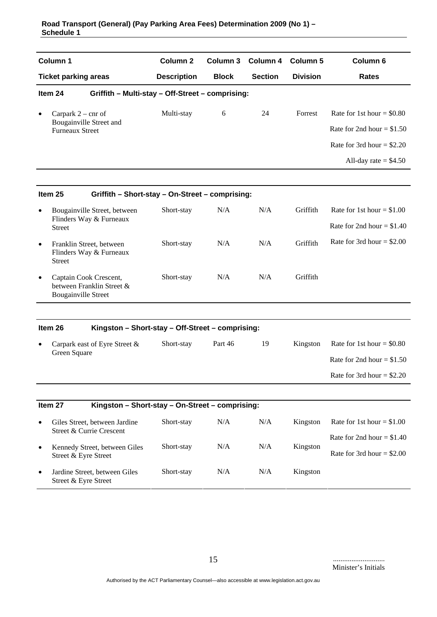|           | Column 1                                                                          | Column <sub>2</sub> | Column 3     | Column 4       | <b>Column 5</b> | Column <sub>6</sub>         |
|-----------|-----------------------------------------------------------------------------------|---------------------|--------------|----------------|-----------------|-----------------------------|
|           | <b>Ticket parking areas</b>                                                       | <b>Description</b>  | <b>Block</b> | <b>Section</b> | <b>Division</b> | <b>Rates</b>                |
|           | Item 24<br>Griffith - Multi-stay - Off-Street - comprising:                       |                     |              |                |                 |                             |
| $\bullet$ | Carpark $2 - \text{cnr of}$                                                       | Multi-stay          | $6\,$        | 24             | Forrest         | Rate for 1st hour = $$0.80$ |
|           | Bougainville Street and<br><b>Furneaux Street</b>                                 |                     |              |                |                 | Rate for 2nd hour = $$1.50$ |
|           |                                                                                   |                     |              |                |                 | Rate for 3rd hour = $$2.20$ |
|           |                                                                                   |                     |              |                |                 | All-day rate $=$ \$4.50     |
|           | Item 25<br>Griffith - Short-stay - On-Street - comprising:                        |                     |              |                |                 |                             |
| ٠         | Bougainville Street, between                                                      | Short-stay          | N/A          | N/A            | Griffith        | Rate for 1st hour = $$1.00$ |
|           | Flinders Way & Furneaux<br><b>Street</b>                                          |                     |              |                |                 | Rate for 2nd hour = $$1.40$ |
| $\bullet$ | Franklin Street, between<br>Flinders Way & Furneaux<br><b>Street</b>              | Short-stay          | N/A          | N/A            | Griffith        | Rate for 3rd hour = $$2.00$ |
|           | Captain Cook Crescent,<br>between Franklin Street &<br><b>Bougainville Street</b> | Short-stay          | N/A          | N/A            | Griffith        |                             |
|           | Item 26<br>Kingston - Short-stay - Off-Street - comprising:                       |                     |              |                |                 |                             |
|           | Carpark east of Eyre Street &<br>Green Square                                     | Short-stay          | Part 46      | 19             | Kingston        | Rate for 1st hour = $$0.80$ |
|           |                                                                                   |                     |              |                |                 | Rate for 2nd hour = $$1.50$ |
|           |                                                                                   |                     |              |                |                 | Rate for 3rd hour = $$2.20$ |
|           |                                                                                   |                     |              |                |                 |                             |
|           | Item 27<br>Kingston - Short-stay - On-Street - comprising:                        |                     |              |                |                 |                             |
|           | Giles Street, between Jardine<br>Street & Currie Crescent                         | Short-stay          | N/A          | N/A            | Kingston        | Rate for 1st hour = $$1.00$ |
| $\bullet$ | Kennedy Street, between Giles                                                     | Short-stay          | N/A          | N/A            | Kingston        | Rate for 2nd hour = $$1.40$ |
|           | Street & Eyre Street                                                              |                     |              |                |                 | Rate for 3rd hour = $$2.00$ |
| $\bullet$ | Jardine Street, between Giles<br>Street & Eyre Street                             | Short-stay          | N/A          | N/A            | Kingston        |                             |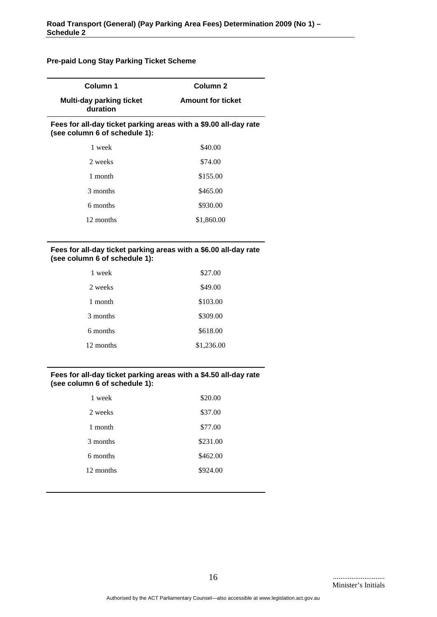## **Pre-paid Long Stay Parking Ticket Scheme**

| Column 1                                                                                          | Column <sub>2</sub>      |  |  |  |  |
|---------------------------------------------------------------------------------------------------|--------------------------|--|--|--|--|
| <b>Multi-day parking ticket</b><br>duration                                                       | <b>Amount for ticket</b> |  |  |  |  |
| Fees for all-day ticket parking areas with a \$9.00 all-day rate<br>(see column 6 of schedule 1): |                          |  |  |  |  |
| 1 week                                                                                            | \$40.00                  |  |  |  |  |
| 2 weeks                                                                                           | \$74.00                  |  |  |  |  |
| 1 month                                                                                           | \$155.00                 |  |  |  |  |
| 3 months                                                                                          | \$465.00                 |  |  |  |  |
| 6 months                                                                                          | \$930.00                 |  |  |  |  |
| 12 months                                                                                         | \$1,860.00               |  |  |  |  |
|                                                                                                   |                          |  |  |  |  |

#### **Fees for all-day ticket parking areas with a \$6.00 all-day rate (see column 6 of schedule 1):**

| 1 week    | \$27.00    |
|-----------|------------|
| 2 weeks   | \$49.00    |
| 1 month   | \$103.00   |
| 3 months  | \$309.00   |
| 6 months  | \$618.00   |
| 12 months | \$1,236.00 |

#### **Fees for all-day ticket parking areas with a \$4.50 all-day rate (see column 6 of schedule 1):**

| \$20.00  |
|----------|
| \$37.00  |
| \$77.00  |
| \$231.00 |
| \$462.00 |
| \$924.00 |
|          |